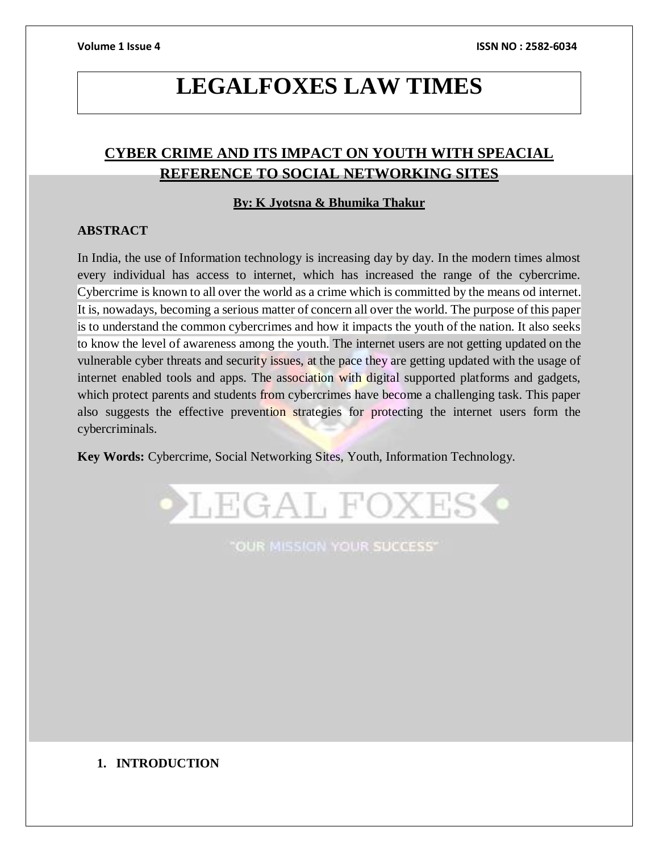# **LEGALFOXES LAW TIMES**

# **CYBER CRIME AND ITS IMPACT ON YOUTH WITH SPEACIAL REFERENCE TO SOCIAL NETWORKING SITES**

# **By: K Jyotsna & Bhumika Thakur**

# **ABSTRACT**

In India, the use of Information technology is increasing day by day. In the modern times almost every individual has access to internet, which has increased the range of the cybercrime. Cybercrime is known to all over the world as a crime which is committed by the means od internet. It is, nowadays, becoming a serious matter of concern all over the world. The purpose of this paper is to understand the common cybercrimes and how it impacts the youth of the nation. It also seeks to know the level of awareness among the youth. The internet users are not getting updated on the vulnerable cyber threats and security issues, at the pace they are getting updated with the usage of internet enabled tools and apps. The association with digital supported platforms and gadgets, which protect parents and students from cybercrimes have become a challenging task. This paper also suggests the effective prevention strategies for protecting the internet users form the cybercriminals.

**Key Words:** Cybercrime, Social Networking Sites, Youth, Information Technology.



"OUR MISSION YOUR SUCCESS"

# **1. INTRODUCTION**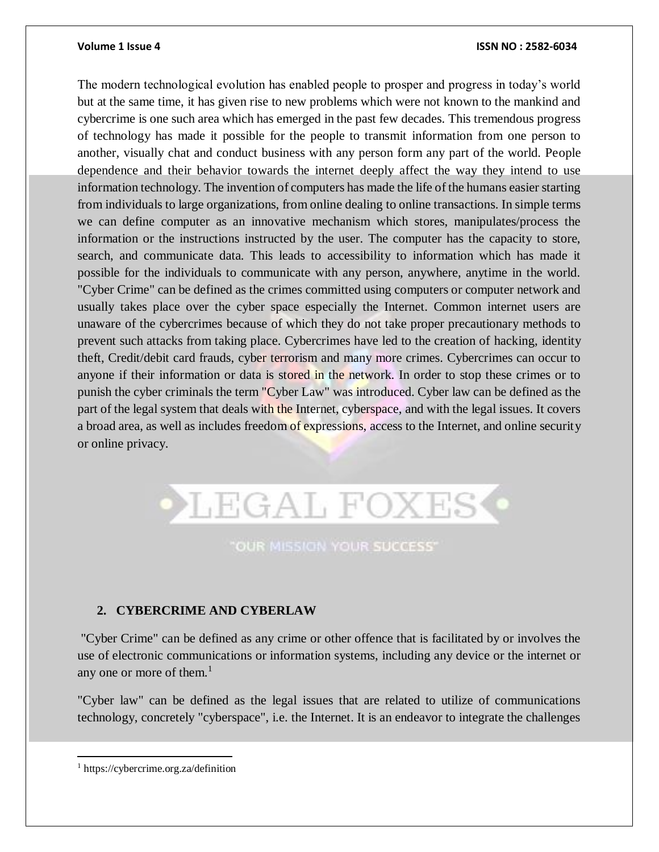### **Volume 1 Issue 4 ISSN NO : 2582-6034**

The modern technological evolution has enabled people to prosper and progress in today's world but at the same time, it has given rise to new problems which were not known to the mankind and cybercrime is one such area which has emerged in the past few decades. This tremendous progress of technology has made it possible for the people to transmit information from one person to another, visually chat and conduct business with any person form any part of the world. People dependence and their behavior towards the internet deeply affect the way they intend to use information technology. The invention of computers has made the life of the humans easier starting from individuals to large organizations, from online dealing to online transactions. In simple terms we can define computer as an innovative mechanism which stores, manipulates/process the information or the instructions instructed by the user. The computer has the capacity to store, search, and communicate data. This leads to accessibility to information which has made it possible for the individuals to communicate with any person, anywhere, anytime in the world. "Cyber Crime" can be defined as the crimes committed using computers or computer network and usually takes place over the cyber space especially the Internet. Common internet users are unaware of the cybercrimes because of which they do not take proper precautionary methods to prevent such attacks from taking place. Cybercrimes have led to the creation of hacking, identity theft, Credit/debit card frauds, cyber terrorism and many more crimes. Cybercrimes can occur to anyone if their information or data is stored in the network. In order to stop these crimes or to punish the cyber criminals the term "Cyber Law" was introduced. Cyber law can be defined as the part of the legal system that deals with the Internet, cyberspace, and with the legal issues. It covers a broad area, as well as includes freedom of expressions, access to the Internet, and online security or online privacy.



# "OUR MISSION YOUR SUCCESS"

# **2. CYBERCRIME AND CYBERLAW**

"Cyber Crime" can be defined as any crime or other offence that is facilitated by or involves the use of electronic communications or information systems, including any device or the internet or any one or more of them. $<sup>1</sup>$ </sup>

"Cyber law" can be defined as the legal issues that are related to utilize of communications technology, concretely "cyberspace", i.e. the Internet. It is an endeavor to integrate the challenges

 $\overline{a}$ 

<sup>1</sup> https://cybercrime.org.za/definition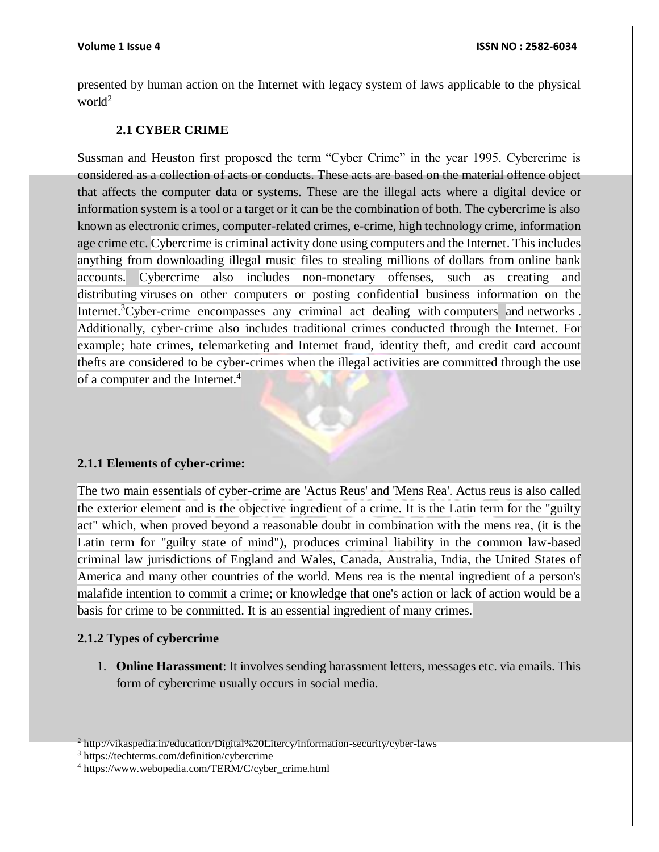presented by human action on the Internet with legacy system of laws applicable to the physical world<sup>2</sup>

# **2.1 CYBER CRIME**

Sussman and Heuston first proposed the term "Cyber Crime" in the year 1995. Cybercrime is considered as a collection of acts or conducts. These acts are based on the material offence object that affects the computer data or systems. These are the illegal acts where a digital device or information system is a tool or a target or it can be the combination of both. The cybercrime is also known as electronic crimes, computer-related crimes, e-crime, high technology crime, information age crime etc. Cybercrime is criminal activity done using computers and the Internet. This includes anything from downloading illegal music files to stealing millions of dollars from online bank accounts. Cybercrime also includes non-monetary offenses, such as creating and distributing [viruses](https://techterms.com/definition/virus) on other computers or posting confidential business information on the Internet.<sup>3</sup>Cyber-crime encompasses any criminal act dealing with [computers](https://www.webopedia.com/TERM/C/computer.html) and [networks](https://www.webopedia.com/TERM/N/network.html). Additionally, cyber-crime also includes traditional crimes conducted through the [Internet.](https://www.webopedia.com/TERM/I/Internet.html) For example; hate crimes, telemarketing and Internet fraud, identity theft, and credit card account thefts are considered to be cyber-crimes when the illegal activities are committed through the use of a computer and the Internet.<sup>4</sup>

# **2.1.1 Elements of cyber-crime:**

The two main essentials of cyber-crime are 'Actus Reus' and 'Mens Rea'. Actus reus is also called the exterior element and is the objective ingredient of a crime. It is the Latin term for the "guilty act" which, when proved beyond a reasonable doubt in combination with the mens rea, (it is the Latin term for "guilty state of mind"), produces criminal liability in the common law-based criminal law jurisdictions of England and Wales, Canada, Australia, India, the United States of America and many other countries of the world. Mens rea is the mental ingredient of a person's malafide intention to commit a crime; or knowledge that one's action or lack of action would be a basis for crime to be committed. It is an essential ingredient of many crimes.

# **2.1.2 Types of cybercrime**

1. **Online Harassment**: It involves sending harassment letters, messages etc. via emails. This form of cybercrime usually occurs in social media.

  $^{2}$  http://vikaspedia.in/education/Digital%20Litercy/information-security/cyber-laws

<sup>3</sup> https://techterms.com/definition/cybercrime

<sup>4</sup> https://www.webopedia.com/TERM/C/cyber\_crime.html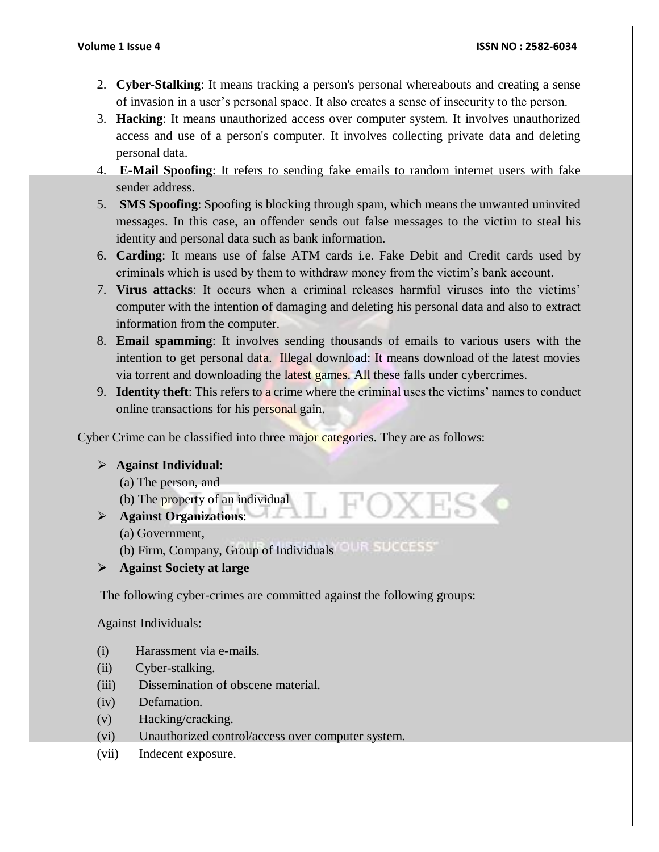- 2. **Cyber-Stalking**: It means tracking a person's personal whereabouts and creating a sense of invasion in a user's personal space. It also creates a sense of insecurity to the person.
- 3. **Hacking**: It means unauthorized access over computer system. It involves unauthorized access and use of a person's computer. It involves collecting private data and deleting personal data.
- 4. **E-Mail Spoofing**: It refers to sending fake emails to random internet users with fake sender address.
- 5. **SMS Spoofing**: Spoofing is blocking through spam, which means the unwanted uninvited messages. In this case, an offender sends out false messages to the victim to steal his identity and personal data such as bank information.
- 6. **Carding**: It means use of false ATM cards i.e. Fake Debit and Credit cards used by criminals which is used by them to withdraw money from the victim's bank account.
- 7. **Virus attacks**: It occurs when a criminal releases harmful viruses into the victims' computer with the intention of damaging and deleting his personal data and also to extract information from the computer.
- 8. **Email spamming**: It involves sending thousands of emails to various users with the intention to get personal data. Illegal download: It means download of the latest movies via torrent and downloading the latest games. All these falls under cybercrimes.
- 9. **Identity theft**: This refers to a crime where the criminal uses the victims' names to conduct online transactions for his personal gain.

Cyber Crime can be classified into three major categories. They are as follows:

# ⮚ **Against Individual**:

- (a) The person, and
- (b) The property of an individual
- ⮚ **Against Organizations**:
	- (a) Government,
	- (b) Firm, Company, Group of Individuals
- ⮚ **Against Society at large**

The following cyber-crimes are committed against the following groups:

# Against Individuals:

- (i) Harassment via e-mails.
- (ii) Cyber-stalking.
- (iii) Dissemination of obscene material.
- (iv) Defamation.
- (v) Hacking/cracking.
- (vi) Unauthorized control/access over computer system.
- (vii) Indecent exposure.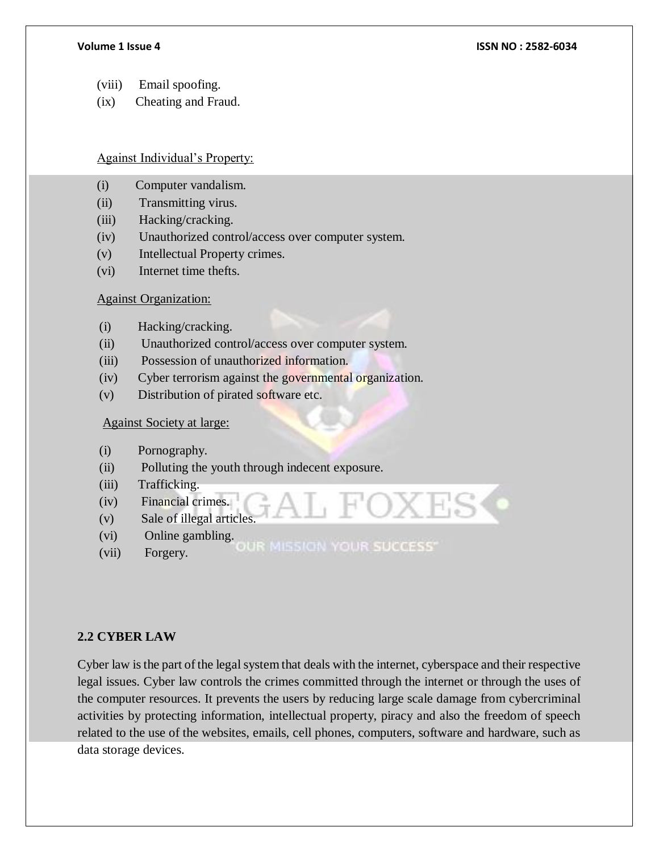- (viii) Email spoofing.
- (ix) Cheating and Fraud.

Against Individual's Property:

- (i) Computer vandalism.
- (ii) Transmitting virus.
- (iii) Hacking/cracking.
- (iv) Unauthorized control/access over computer system.
- (v) Intellectual Property crimes.
- (vi) Internet time thefts.

# Against Organization:

- (i) Hacking/cracking.
- (ii) Unauthorized control/access over computer system.
- (iii) Possession of unauthorized information.
- (iv) Cyber terrorism against the governmental organization.
- (v) Distribution of pirated software etc.

# Against Society at large:

- (i) Pornography.
- (ii) Polluting the youth through indecent exposure.
- (iii) Trafficking.
- (iv) Financial crimes.
- (v) Sale of illegal articles.
- (vi) Online gambling.
- OUR MISSION YOUR SUCCESS" (vii) Forgery.

# **2.2 CYBER LAW**

Cyber law is the part of the legal system that deals with the internet, cyberspace and their respective legal issues. Cyber law controls the crimes committed through the internet or through the uses of the computer resources. It prevents the users by reducing large scale damage from cybercriminal activities by protecting information, intellectual property, piracy and also the freedom of speech related to the use of the websites, emails, cell phones, computers, software and hardware, such as data storage devices.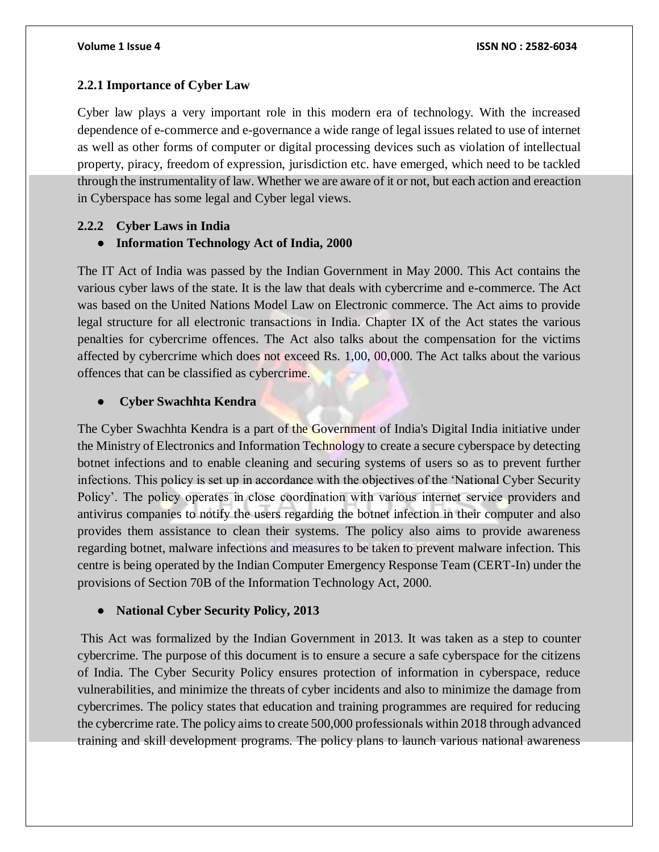# **2.2.1 Importance of Cyber Law**

Cyber law plays a very important role in this modern era of technology. With the increased dependence of e-commerce and e-governance a wide range of legal issues related to use of internet as well as other forms of computer or digital processing devices such as violation of intellectual property, piracy, freedom of expression, jurisdiction etc. have emerged, which need to be tackled through the instrumentality of law. Whether we are aware of it or not, but each action and ereaction in Cyberspace has some legal and Cyber legal views.

# **2.2.2 Cyber Laws in India**

### ● **Information Technology Act of India, 2000**

The IT Act of India was passed by the Indian Government in May 2000. This Act contains the various cyber laws of the state. It is the law that deals with cybercrime and e-commerce. The Act was based on the United Nations Model Law on Electronic commerce. The Act aims to provide legal structure for all electronic transactions in India. Chapter IX of the Act states the various penalties for cybercrime offences. The Act also talks about the compensation for the victims affected by cybercrime which does not exceed Rs. 1,00, 00,000. The Act talks about the various offences that can be classified as cybercrime.

### ● **Cyber Swachhta Kendra**

The Cyber Swachhta Kendra is a part of the Government of India's Digital India initiative under the Ministry of Electronics and Information Technology to create a secure cyberspace by detecting botnet infections and to enable cleaning and securing systems of users so as to prevent further infections. This policy is set up in accordance with the objectives of the 'National Cyber Security Policy'. The policy operates in close coordination with various internet service providers and antivirus companies to notify the users regarding the botnet infection in their computer and also provides them assistance to clean their systems. The policy also aims to provide awareness regarding botnet, malware infections and measures to be taken to prevent malware infection. This centre is being operated by the Indian Computer Emergency Response Team (CERT-In) under the provisions of Section 70B of the Information Technology Act, 2000.

### ● **National Cyber Security Policy, 2013**

This Act was formalized by the Indian Government in 2013. It was taken as a step to counter cybercrime. The purpose of this document is to ensure a secure a safe cyberspace for the citizens of India. The Cyber Security Policy ensures protection of information in cyberspace, reduce vulnerabilities, and minimize the threats of cyber incidents and also to minimize the damage from cybercrimes. The policy states that education and training programmes are required for reducing the cybercrime rate. The policy aims to create 500,000 professionals within 2018 through advanced training and skill development programs. The policy plans to launch various national awareness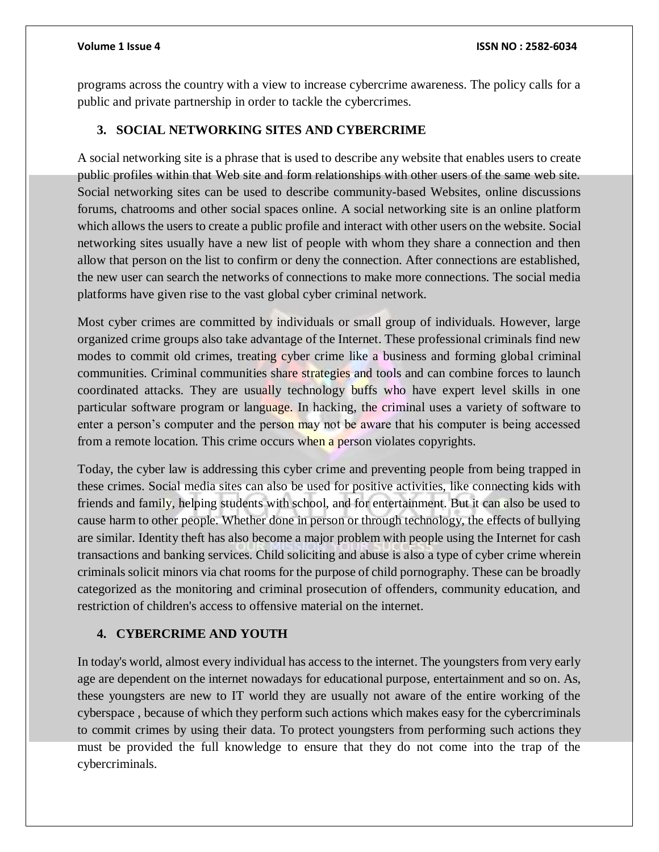programs across the country with a view to increase cybercrime awareness. The policy calls for a public and private partnership in order to tackle the cybercrimes.

# **3. SOCIAL NETWORKING SITES AND CYBERCRIME**

A social networking site is a phrase that is used to describe any website that enables users to create public profiles within that Web site and form relationships with other users of the same web site. Social networking sites can be used to describe community-based Websites, online discussions forums, chatrooms and other social spaces online. A social networking site is an online platform which allows the users to create a public profile and interact with other users on the website. Social networking sites usually have a new list of people with whom they share a connection and then allow that person on the list to confirm or deny the connection. After connections are established, the new user can search the networks of connections to make more connections. The social media platforms have given rise to the vast global cyber criminal network.

Most cyber crimes are committed by individuals or small group of individuals. However, large organized crime groups also take advantage of the Internet. These professional criminals find new modes to commit old crimes, treating cyber crime like a business and forming global criminal communities. Criminal communities share strategies and tools and can combine forces to launch coordinated attacks. They are usually technology buffs who have expert level skills in one particular software program or language. In hacking, the criminal uses a variety of software to enter a person's computer and the person may not be aware that his computer is being accessed from a remote location. This crime occurs when a person violates copyrights.

Today, the cyber law is addressing this cyber crime and preventing people from being trapped in these crimes. Social media sites can also be used for positive activities, like connecting kids with friends and family, helping students with school, and for entertainment. But it can also be used to cause harm to other people. Whether done in person or through technology, the effects of bullying are similar. Identity theft has also become a major problem with people using the Internet for cash transactions and banking services. Child soliciting and abuse is also a type of cyber crime wherein criminals solicit minors via chat rooms for the purpose of child pornography. These can be broadly categorized as the monitoring and criminal prosecution of offenders, community education, and restriction of children's access to offensive material on the internet.

# **4. CYBERCRIME AND YOUTH**

In today's world, almost every individual has access to the internet. The youngsters from very early age are dependent on the internet nowadays for educational purpose, entertainment and so on. As, these youngsters are new to IT world they are usually not aware of the entire working of the cyberspace , because of which they perform such actions which makes easy for the cybercriminals to commit crimes by using their data. To protect youngsters from performing such actions they must be provided the full knowledge to ensure that they do not come into the trap of the cybercriminals.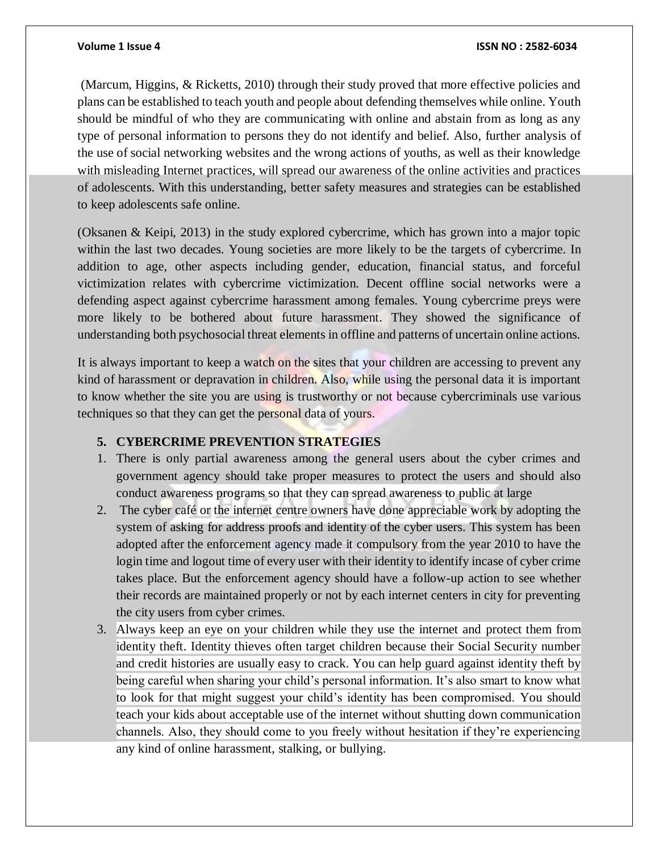(Marcum, Higgins, & Ricketts, 2010) through their study proved that more effective policies and plans can be established to teach youth and people about defending themselves while online. Youth should be mindful of who they are communicating with online and abstain from as long as any type of personal information to persons they do not identify and belief. Also, further analysis of the use of social networking websites and the wrong actions of youths, as well as their knowledge with misleading Internet practices, will spread our awareness of the online activities and practices of adolescents. With this understanding, better safety measures and strategies can be established to keep adolescents safe online.

(Oksanen & Keipi, 2013) in the study explored cybercrime, which has grown into a major topic within the last two decades. Young societies are more likely to be the targets of cybercrime. In addition to age, other aspects including gender, education, financial status, and forceful victimization relates with cybercrime victimization. Decent offline social networks were a defending aspect against cybercrime harassment among females. Young cybercrime preys were more likely to be bothered about future harassment. They showed the significance of understanding both psychosocial threat elements in offline and patterns of uncertain online actions.

It is always important to keep a watch on the sites that your children are accessing to prevent any kind of harassment or depravation in children. Also, while using the personal data it is important to know whether the site you are using is trustworthy or not because cybercriminals use various techniques so that they can get the personal data of yours.

# **5. CYBERCRIME PREVENTION STRATEGIES**

- 1. There is only partial awareness among the general users about the cyber crimes and government agency should take proper measures to protect the users and should also conduct awareness programs so that they can spread awareness to public at large
- 2. The cyber café or the internet centre owners have done appreciable work by adopting the system of asking for address proofs and identity of the cyber users. This system has been adopted after the enforcement agency made it compulsory from the year 2010 to have the login time and logout time of every user with their identity to identify incase of cyber crime takes place. But the enforcement agency should have a follow-up action to see whether their records are maintained properly or not by each internet centers in city for preventing the city users from cyber crimes.
- 3. Always keep an eye on your children while they use the internet and [protect them from](https://www.lifelock.com/education/5-ways-to-help-protect-your-child-from-identity-theft/)  [identity theft.](https://www.lifelock.com/education/5-ways-to-help-protect-your-child-from-identity-theft/) Identity thieves often target children because their Social Security number and credit histories are usually easy to crack. You can help guard against identity theft by being careful when sharing your child's personal information. It's also smart to know what to look for that might suggest your child's identity has been compromised. You should teach your kids about acceptable use of the internet without shutting down communication channels. Also, they should come to you freely without hesitation if they're experiencing any kind of online harassment, stalking, or [bullying.](https://us.norton.com/guide/kids-internet-safety-tips)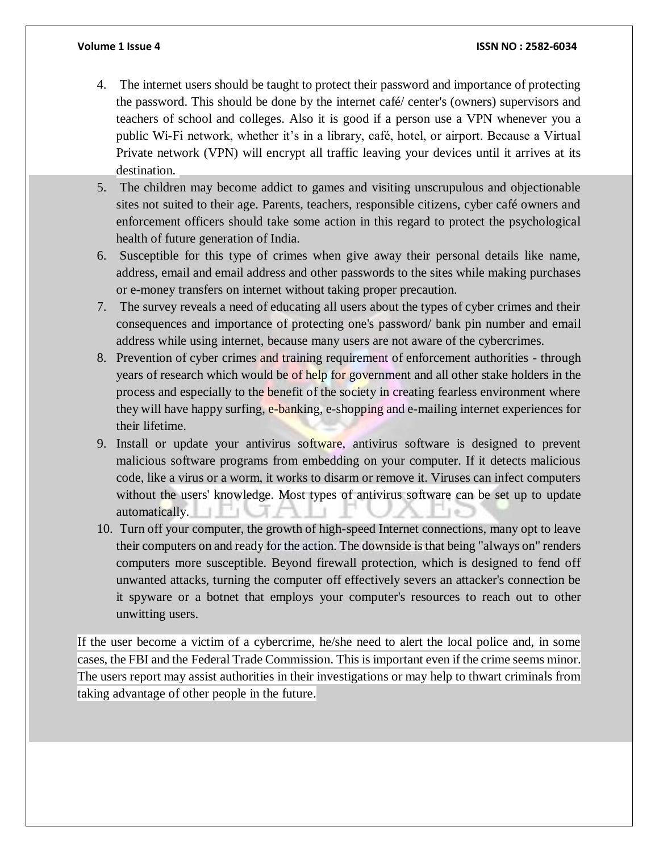- 4. The internet users should be taught to protect their password and importance of protecting the password. This should be done by the internet café/ center's (owners) supervisors and teachers of school and colleges. Also it is good if a person use a VPN whenever you a public Wi-Fi network, whether it's in a library, café, hotel, or airport. Because a Virtual Private network (VPN) will encrypt all traffic leaving your devices until it arrives at its destination.
- 5. The children may become addict to games and visiting unscrupulous and objectionable sites not suited to their age. Parents, teachers, responsible citizens, cyber café owners and enforcement officers should take some action in this regard to protect the psychological health of future generation of India.
- 6. Susceptible for this type of crimes when give away their personal details like name, address, email and email address and other passwords to the sites while making purchases or e-money transfers on internet without taking proper precaution.
- 7. The survey reveals a need of educating all users about the types of cyber crimes and their consequences and importance of protecting one's password/ bank pin number and email address while using internet, because many users are not aware of the cybercrimes.
- 8. Prevention of cyber crimes and training requirement of enforcement authorities through years of research which would be of help for government and all other stake holders in the process and especially to the benefit of the society in creating fearless environment where they will have happy surfing, e-banking, e-shopping and e-mailing internet experiences for their lifetime.
- 9. Install or update your antivirus software, antivirus software is designed to prevent malicious software programs from embedding on your computer. If it detects malicious code, like a virus or a worm, it works to disarm or remove it. Viruses can infect computers without the users' knowledge. Most types of antivirus software can be set up to update automatically. -1.
- 10. Turn off your computer, the growth of high-speed Internet connections, many opt to leave their computers on and ready for the action. The downside is that being "always on" renders computers more susceptible. Beyond firewall protection, which is designed to fend off unwanted attacks, turning the computer off effectively severs an attacker's connection be it spyware or a botnet that employs your computer's resources to reach out to other unwitting users.

If the user become a victim of a cybercrime, he/she need to alert the local police and, in some cases, the FBI and the [Federal Trade Commission.](https://www.identitytheft.gov/) This is important even if the crime seems minor. The users report may assist authorities in their investigations or may help to thwart criminals from taking advantage of other people in the future.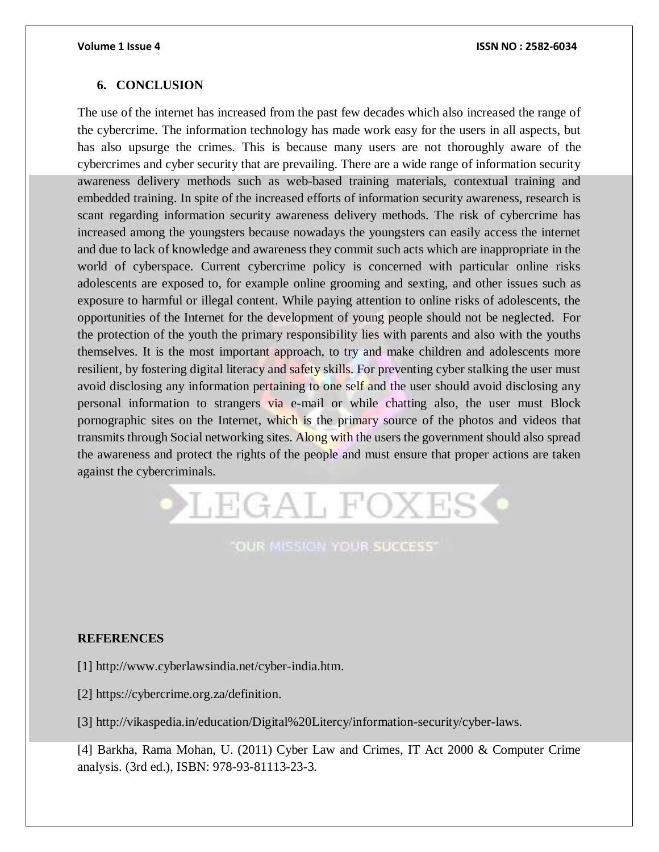# **6. CONCLUSION**

The use of the internet has increased from the past few decades which also increased the range of the cybercrime. The information technology has made work easy for the users in all aspects, but has also upsurge the crimes. This is because many users are not thoroughly aware of the cybercrimes and cyber security that are prevailing. There are a wide range of information security awareness delivery methods such as web-based training materials, contextual training and embedded training. In spite of the increased efforts of information security awareness, research is scant regarding information security awareness delivery methods. The risk of cybercrime has increased among the youngsters because nowadays the youngsters can easily access the internet and due to lack of knowledge and awareness they commit such acts which are inappropriate in the world of cyberspace. Current cybercrime policy is concerned with particular online risks adolescents are exposed to, for example online grooming and sexting, and other issues such as exposure to harmful or illegal content. While paying attention to online risks of adolescents, the opportunities of the Internet for the development of young people should not be neglected. For the protection of the youth the primary responsibility lies with parents and also with the youths themselves. It is the most important approach, to try and make children and adolescents more resilient, by fostering digital literacy and safety skills. For preventing cyber stalking the user must avoid disclosing any information pertaining to one self and the user should avoid disclosing any personal information to strangers via e-mail or while chatting also, the user must Block pornographic sites on the Internet, which is the primary source of the photos and videos that transmits through Social networking sites. Along with the users the government should also spread the awareness and protect the rights of the people and must ensure that proper actions are taken against the cybercriminals.



# **"OUR MISSION YOUR SUCCESS"**

# **REFERENCES**

[1] [http://www.cyberlawsindia.net/cyber-india.htm.](http://www.cyberlawsindia.net/cyber-india.htm)

[2] [https://cybercrime.org.za/definition.](https://cybercrime.org.za/definition)

[3] [http://vikaspedia.in/education/Digital%20Litercy/information-security/cyber-laws.](http://vikaspedia.in/education/Digital%20Litercy/information-security/cyber-laws)

[4] Barkha, Rama Mohan, U. (2011) Cyber Law and Crimes, IT Act 2000 & Computer Crime analysis. (3rd ed.), ISBN: 978-93-81113-23-3.